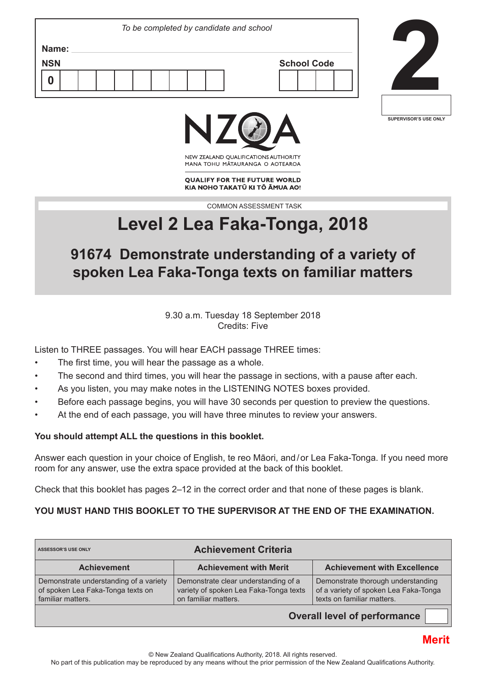|                     | To be completed by candidate and school |                    |  |
|---------------------|-----------------------------------------|--------------------|--|
| Name:<br><b>NSN</b> |                                         | <b>School Code</b> |  |
| 0                   |                                         |                    |  |
|                     |                                         |                    |  |







NEW ZEALAND OUALIFICATIONS AUTHORITY MANA TOHU MATAURANGA O AOTEAROA

**QUALIFY FOR THE FUTURE WORLD** KIA NOHO TAKATŪ KI TŌ ĀMUA AO!

COMMON ASSESSMENT TASK

# **Level 2 Lea Faka-Tonga, 2018**

# **91674 Demonstrate understanding of a variety of spoken Lea Faka-Tonga texts on familiar matters**

9.30 a.m. Tuesday 18 September 2018 Credits: Five

Listen to THREE passages. You will hear EACH passage THREE times:

- The first time, you will hear the passage as a whole.
- The second and third times, you will hear the passage in sections, with a pause after each.
- As you listen, you may make notes in the LISTENING NOTES boxes provided.
- Before each passage begins, you will have 30 seconds per question to preview the questions.
- At the end of each passage, you will have three minutes to review your answers.

#### **You should attempt ALL the questions in this booklet.**

Answer each question in your choice of English, te reo Māori, and / or Lea Faka-Tonga. If you need more room for any answer, use the extra space provided at the back of this booklet.

Check that this booklet has pages 2–12 in the correct order and that none of these pages is blank.

## **YOU MUST HAND THIS BOOKLET TO THE SUPERVISOR AT THE END OF THE EXAMINATION.**

| <b>Achievement Criteria</b><br><b>ASSESSOR'S USE ONLY</b>                                        |                                                                                                        |                                                                                                           |  |  |  |  |  |
|--------------------------------------------------------------------------------------------------|--------------------------------------------------------------------------------------------------------|-----------------------------------------------------------------------------------------------------------|--|--|--|--|--|
| <b>Achievement</b>                                                                               | <b>Achievement with Merit</b>                                                                          | <b>Achievement with Excellence</b>                                                                        |  |  |  |  |  |
| Demonstrate understanding of a variety<br>of spoken Lea Faka-Tonga texts on<br>familiar matters. | Demonstrate clear understanding of a<br>variety of spoken Lea Faka-Tonga texts<br>on familiar matters. | Demonstrate thorough understanding<br>of a variety of spoken Lea Faka-Tonga<br>texts on familiar matters. |  |  |  |  |  |
| <b>Overall level of performance</b>                                                              |                                                                                                        |                                                                                                           |  |  |  |  |  |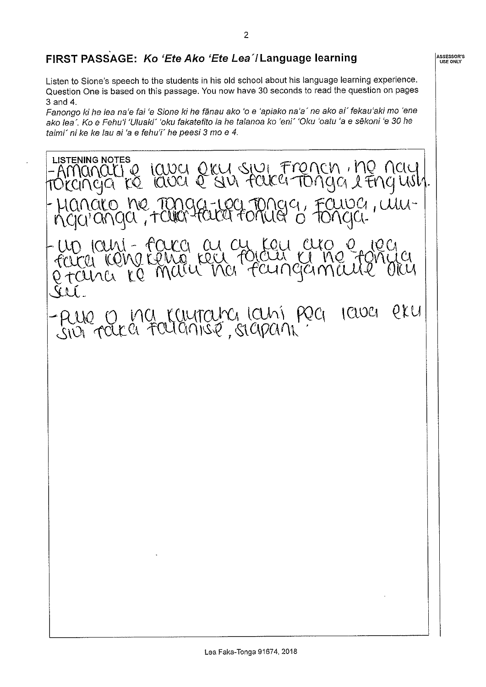# FIRST PASSAGE: Ko 'Ete Ako 'Ete Lea'/Language learning

Listen to Sione's speech to the students in his old school about his language learning experience. Question One is based on this passage. You now have 30 seconds to read the question on pages 3 and 4.

Fanongo ki he lea na'e fai 'e Sione ki he fānau ako 'o e 'apiako na'a' ne ako ai' fekau'aki mo 'ene ako lea". Ko e Fehu'i 'Uluaki' 'oku fakatefito ia he talanoa ko 'eni' 'Oku 'oatu 'a e sēkoni 'e 30 he taimi' ni ke ke lau ai 'a e fehu'i' he peesi 3 mo e 4.

**LISTENING NOTES** Manaitie lava eku sivi French , ne nay |<br>cinga re lava e sivi faka Tonga l'Engush. Hanaro ne Tanga-100 Tonga, Fauva, Wwuri - taca as cu cu<br>idna teng reu foia rani - faca 11 JUCAI  $CUMA$ pru - PUIO O MU KUUTOUR KUNI POCI  $1CU0C1$ 

**ASSESSOR'S**<br>USE ONLY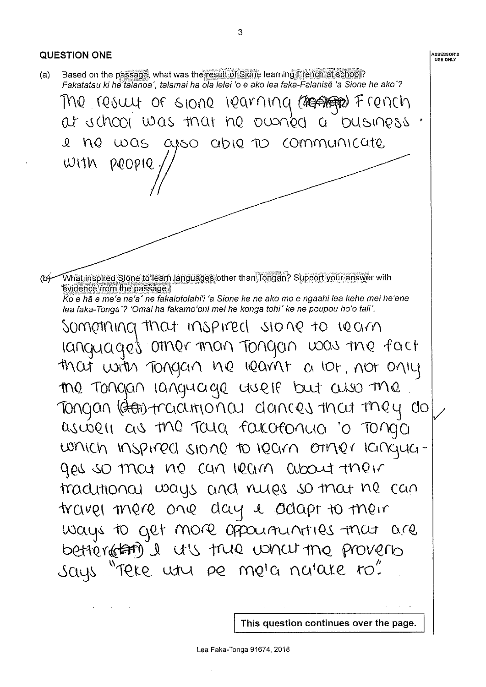

This question continues over the page.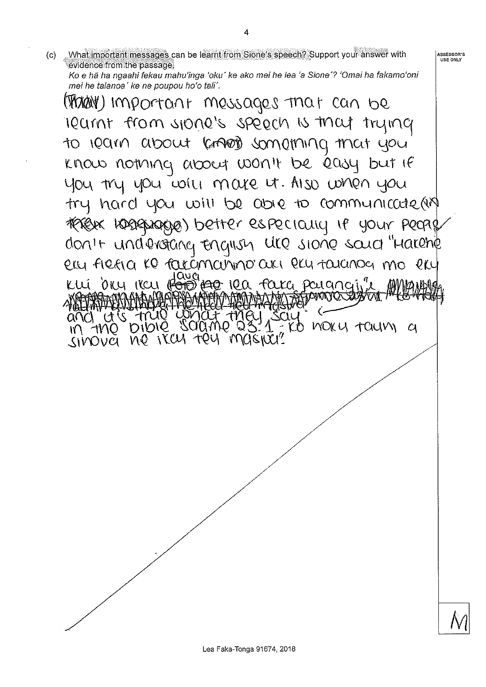Ko e hã ha ngaahi fekau mahu'inga 'oku' ke ako mei he lea 'a Sione'? 'Omai ha fakamo'oni mei he talanoa' ke ne poupou ho'o tali'. (Than) Important messages that can be IQUINT from s1000's speech is that trying to learn about know something that you know nothing about won't be easy but if you try you will mare it. Also when you try hard you will be able to communicate (in TERELAK KORABANOKARE) better especially le your people don't understang Engrish Uce sione soud "Harehe ery fieria KO racámamino an ery taranog mo ery Kui d'au reu <del>rond Agr</del> rea faka pouangin" and ats fruo wonder they say FO MOKY TOUM

|<br>| ASSESSOR'S<br>| USE ONLY

What important messages can be learnt from Sione's speech? Support your answer with

 $(c)$ 

evidence from the passage.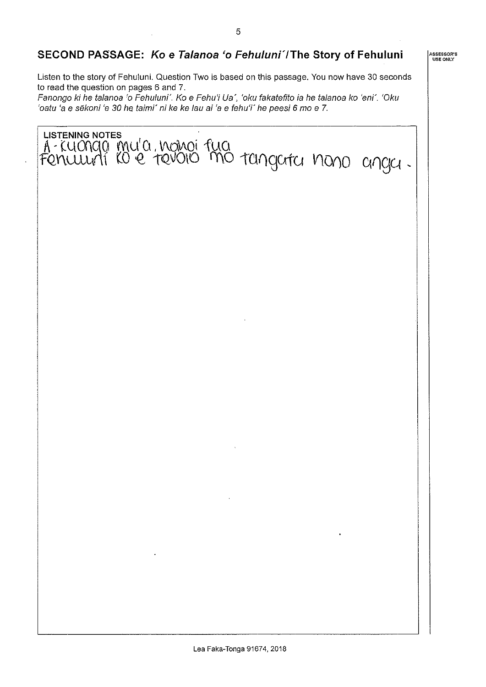## SECOND PASSAGE: Ko e Talanoa 'o Fehuluni'/The Story of Fehuluni

Listen to the story of Fehuluni. Question Two is based on this passage. You now have 30 seconds to read the question on pages 6 and 7.

Fanongo ki he talanoa 'o Fehuluni'. Ko e Fehu'i Ua', 'oku fakatefito ia he talanoa ko 'eni'. 'Oku 'oatu 'a e sēkoni 'e 30 he taimi' ni ke ke lau ai 'a e fehu'i' he peesi 6 mo e 7.



ASSESSOR'S<br>USE ONLY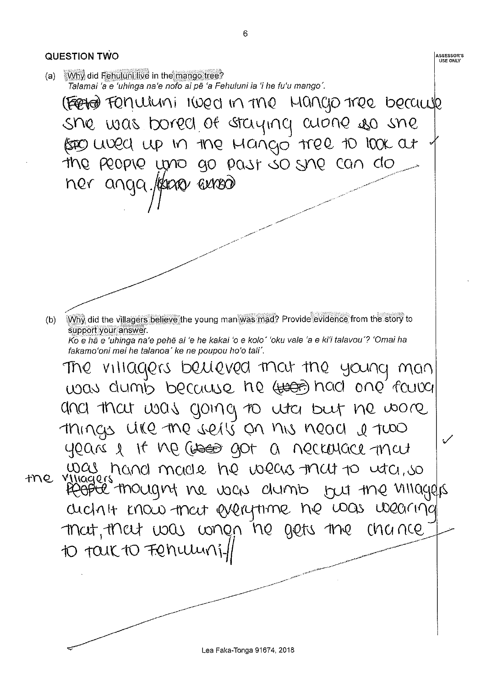QUESTION TWO **ASSESSOR'S USE ONLY** (a) Why did Fehuluni live in the mango tree? Talamai 'a e 'uhinga na'e nofo ai pē 'a Fehuluni ia 'i he fu'u mango'. (FEETER FON ULUMI 1WED IN TME HANGO TREE because she was bored of staying cuone so she (SEO WORD UP IN the Mango tree to look at the people who go past so she can do ner anga./Kaar aaroo Why did the villagers believe the young man was mad? Provide evidence from the story to  $(b)$ support your answer. Ko e hā e 'uhinga na'e pehē ai 'e he kakai 'o e kolo' 'oku vale 'a e ki'i talavou'? 'Omai ha fakamo'oni mei he talanoa' ke ne poupou ho'o tali'. The villagers believed mat the young man was dumb because he (to had one foury and that was going to uta but ne wore Things will the sells on his nead a two years & It Me cross got a necroyace mat was hand made he wears that to utch, so the villagers mought he was dumb but the villagers archit know that everythine he was wearing mot, they was when he gets the chance 10 TOUK TO FRANCHING

Lea Faka-Tonga 91674, 2018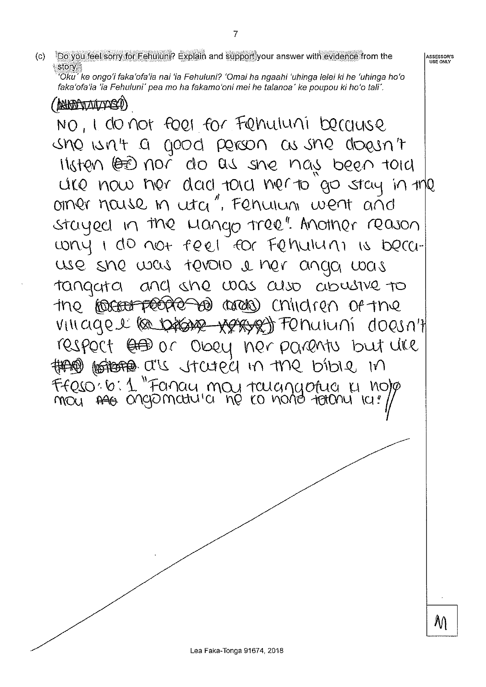Do you feel sorry for Fehuluni? Explain and support your answer with evidence from the  $(c)$ story.

'Oku' ke ongo'i faka'ofa'ia nai 'ia Fehuluni? 'Omai ha ngaahi 'uhinga lelei ki he 'uhinga ho'o faka'ofa'ia 'ia Fehuluni' pea mo ha fakamo'oni mei he talanoa' ke poupou ki ho'o tali'.

**MARPORATO DE ANALYSES** NO, I do not foel for Fehruluni because une writ a good person as she doesn't listen leed not do as she nay been told ure now her dad told her to go stay in the orner nouse m utci", Fenuium went añd stayed in the wango tree". Another reason wright do not feel for Fehalum is because she was tevolo i her anga was tangata and she was also abusive to the **forcer people as areas** children of the VIII agel (a broase very of Fenuluni doesn't respect  $\oplus$  or obey ner parents but like the bible ont n bjots the bible in FFRSO: 6: 1 "Fancy moy touchyotua uno/p

ASSESSOR'S<br>USE ONLY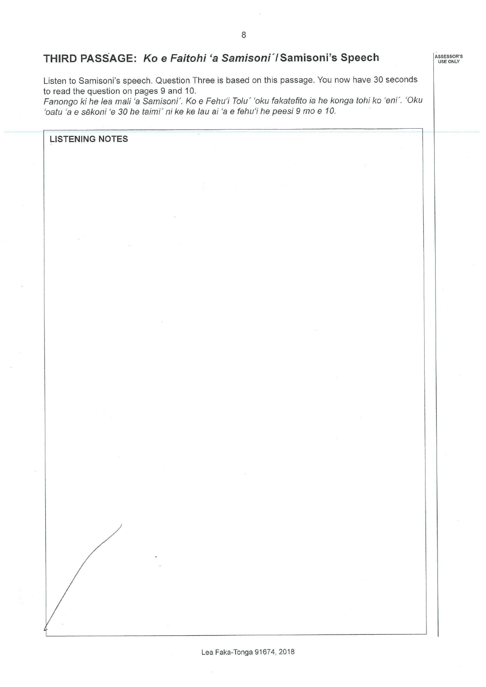ASSESSOR'S

### THIRD PASSAGE: Ko e Faitohi 'a Samisoni' / Samisoni's Speech

Listen to Samisoni's speech. Question Three is based on this passage. You now have 30 seconds to read the question on pages 9 and 10.

Fanongo ki he lea mali 'a Samisoni'. Ko e Fehu'i Tolu' 'oku fakatefito ia he konga tohi ko 'eni'. 'Oku 'oatu 'a e sēkoni 'e 30 he taimi' ni ke ke lau ai 'a e fehu'i he peesi 9 mo e 10.

**LISTENING NOTES**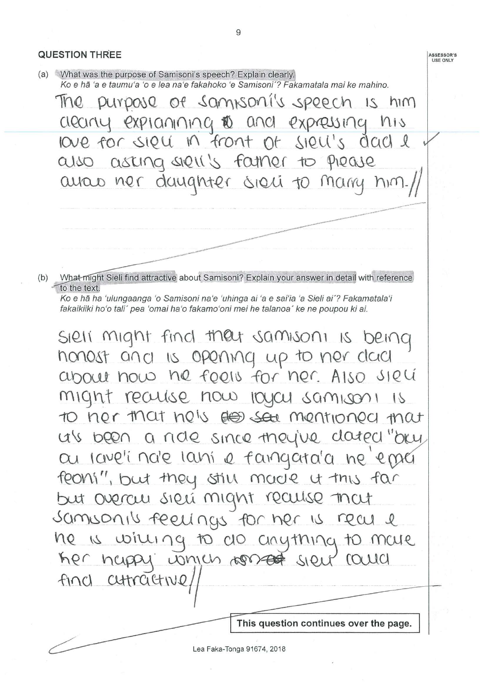**QUESTION THREE ASSESSOR'S**<br>USE ONLY (a) What was the purpose of Samisoni's speech? Explain clearly. Ko e hã 'a e taumu'a 'o e lea na'e fakahoko 'e Samisoni'? Fakamatala mai ke mahino. The purpose of samisoni's speech is him aleany explanning @ and expressing his love for sigue in front of sigue's dad e also asking siell's famer to piease ayou ner daughter sieu to many him. What might Sieli find attractive about Samisoni? Explain your answer in detail with reference  $(b)$ to the text. Ko e hā ha 'ulungaanga 'o Samisoni na'e 'uhinga ai 'a e sai'ia 'a Sieli ai'? Fakamatala'i fakaikiiki ho'o tali' pea 'omai ha'o fakamo'oni mei he talanoa' ke ne poupou ki ai. SIRII might find they samison is being honost and is opening up to ner clad about now he feels for her. Also siel might realise now layer samison is to ner that he's des see mentioned that us been a ride since they've clated "oky au lave'i note lani e faingara'a ne epser

feons", but they still made it this far but overcu sieu might recuise mat samsonis feelings for her is real e he is willing to do cinything to male her happy which worked sien round find cutractive

This question continues over the page.

9

Lea Faka-Tonga 91674, 2018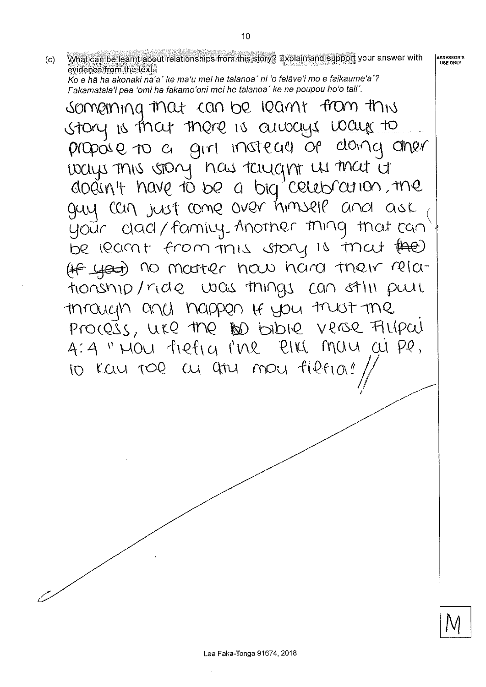What can be learnt about relationships from this story? Explain and support your answer with ASSESSOR'S<br>USE ONLY  $(c)$ evidence from the text.

10

Ko e hā ha akonaki na'a' ke ma'u mei he talanoa' ni 'o felāve'i mo e faikaume'a'? Fakamatala'i pea 'omi ha fakamo'oni mei he talanoa' ke ne poupou ho'o tali'.

somerning that can be learnt from this story is that there is aways ways to propose to a girl insteau of donny other ways this story has taught us that it dodin't have to be a big celebration, the guy can just come over himself and ask your dad/family. Another thing that can be learnt from this story is that (the) (IF yest) no moutrer how hard their relationship/ride was things can still pull through and happen If you trust the Process, use the 100 bibile verse Filipcul 4:4 " MOU fielig I'ME PIKI MUM CU PP. 10 KW TOR OU 9tru mou fleria!